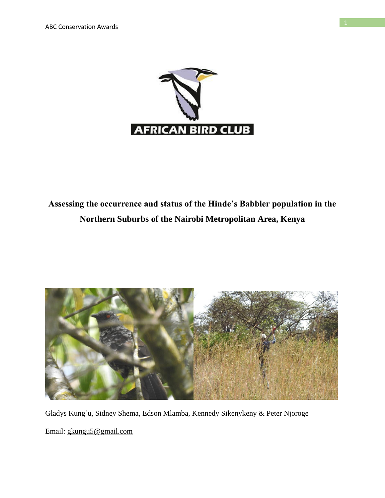

# **Assessing the occurrence and status of the Hinde's Babbler population in the Northern Suburbs of the Nairobi Metropolitan Area, Kenya**



Gladys Kung'u, Sidney Shema, Edson Mlamba, Kennedy Sikenykeny & Peter Njoroge Email: gkungu5@gmail.com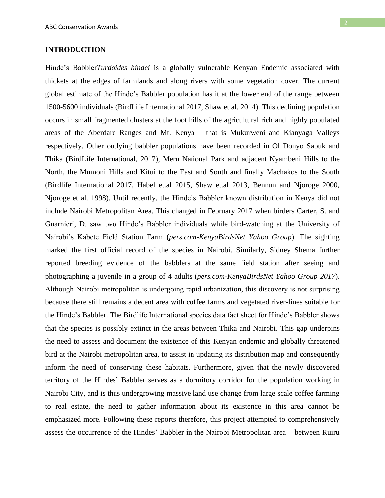#### **INTRODUCTION**

Hinde's Babbler*Turdoides hindei* is a globally vulnerable Kenyan Endemic associated with thickets at the edges of farmlands and along rivers with some vegetation cover. The current global estimate of the Hinde's Babbler population has it at the lower end of the range between 1500-5600 individuals (BirdLife International 2017, Shaw et al. 2014). This declining population occurs in small fragmented clusters at the foot hills of the agricultural rich and highly populated areas of the Aberdare Ranges and Mt. Kenya – that is Mukurweni and Kianyaga Valleys respectively. Other outlying babbler populations have been recorded in Ol Donyo Sabuk and Thika (BirdLife International, 2017), Meru National Park and adjacent Nyambeni Hills to the North, the Mumoni Hills and Kitui to the East and South and finally Machakos to the South (Birdlife International 2017, Habel et.al 2015, Shaw et.al 2013, Bennun and Njoroge 2000, Njoroge et al. 1998). Until recently, the Hinde's Babbler known distribution in Kenya did not include Nairobi Metropolitan Area. This changed in February 2017 when birders Carter, S. and Guarnieri, D. saw two Hinde's Babbler individuals while bird-watching at the University of Nairobi's Kabete Field Station Farm (*pers.com-KenyaBirdsNet Yahoo Group*). The sighting marked the first official record of the species in Nairobi. Similarly, Sidney Shema further reported breeding evidence of the babblers at the same field station after seeing and photographing a juvenile in a group of 4 adults (*pers.com-KenyaBirdsNet Yahoo Group 2017*). Although Nairobi metropolitan is undergoing rapid urbanization, this discovery is not surprising because there still remains a decent area with coffee farms and vegetated river-lines suitable for the Hinde's Babbler. The Birdlife International species data fact sheet for Hinde's Babbler shows that the species is possibly extinct in the areas between Thika and Nairobi. This gap underpins the need to assess and document the existence of this Kenyan endemic and globally threatened bird at the Nairobi metropolitan area, to assist in updating its distribution map and consequently inform the need of conserving these habitats. Furthermore, given that the newly discovered territory of the Hindes' Babbler serves as a dormitory corridor for the population working in Nairobi City, and is thus undergrowing massive land use change from large scale coffee farming to real estate, the need to gather information about its existence in this area cannot be emphasized more. Following these reports therefore, this project attempted to comprehensively assess the occurrence of the Hindes' Babbler in the Nairobi Metropolitan area – between Ruiru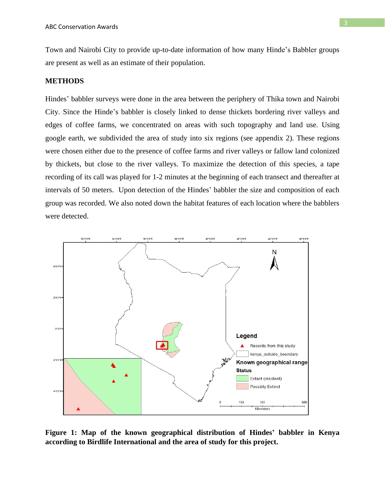Town and Nairobi City to provide up-to-date information of how many Hinde's Babbler groups are present as well as an estimate of their population.

#### **METHODS**

Hindes' babbler surveys were done in the area between the periphery of Thika town and Nairobi City. Since the Hinde's babbler is closely linked to dense thickets bordering river valleys and edges of coffee farms, we concentrated on areas with such topography and land use. Using google earth, we subdivided the area of study into six regions (see appendix 2). These regions were chosen either due to the presence of coffee farms and river valleys or fallow land colonized by thickets, but close to the river valleys. To maximize the detection of this species, a tape recording of its call was played for 1-2 minutes at the beginning of each transect and thereafter at intervals of 50 meters. Upon detection of the Hindes' babbler the size and composition of each group was recorded. We also noted down the habitat features of each location where the babblers were detected.



**Figure 1: Map of the known geographical distribution of Hindes' babbler in Kenya according to Birdlife International and the area of study for this project.**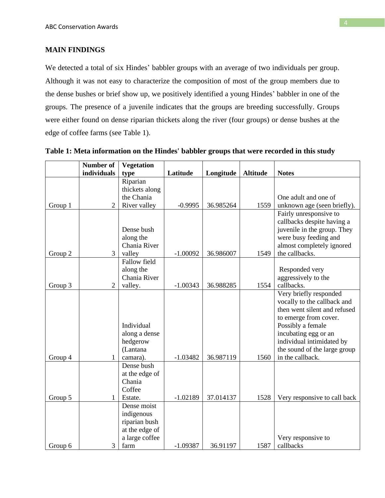### **MAIN FINDINGS**

We detected a total of six Hindes' babbler groups with an average of two individuals per group. Although it was not easy to characterize the composition of most of the group members due to the dense bushes or brief show up, we positively identified a young Hindes' babbler in one of the groups. The presence of a juvenile indicates that the groups are breeding successfully. Groups were either found on dense riparian thickets along the river (four groups) or dense bushes at the edge of coffee farms (see Table 1).

|         | Number of      | <b>Vegetation</b>                                                                      |            |           |                 |                                                                                                                                                                                                                                              |
|---------|----------------|----------------------------------------------------------------------------------------|------------|-----------|-----------------|----------------------------------------------------------------------------------------------------------------------------------------------------------------------------------------------------------------------------------------------|
|         | individuals    | type                                                                                   | Latitude   | Longitude | <b>Altitude</b> | <b>Notes</b>                                                                                                                                                                                                                                 |
|         |                | Riparian                                                                               |            |           |                 |                                                                                                                                                                                                                                              |
|         |                | thickets along                                                                         |            |           |                 |                                                                                                                                                                                                                                              |
|         |                | the Chania                                                                             |            |           |                 | One adult and one of                                                                                                                                                                                                                         |
| Group 1 | $\overline{2}$ | River valley                                                                           | $-0.9995$  | 36.985264 | 1559            | unknown age (seen briefly).                                                                                                                                                                                                                  |
| Group 2 | 3              | Dense bush<br>along the<br>Chania River<br>valley                                      | $-1.00092$ | 36.986007 | 1549            | Fairly unresponsive to<br>callbacks despite having a<br>juvenile in the group. They<br>were busy feeding and<br>almost completely ignored<br>the callbacks.                                                                                  |
|         |                | <b>Fallow field</b>                                                                    |            |           |                 |                                                                                                                                                                                                                                              |
|         |                | along the                                                                              |            |           |                 | Responded very                                                                                                                                                                                                                               |
|         |                | Chania River                                                                           |            |           |                 | aggressively to the                                                                                                                                                                                                                          |
| Group 3 | $\overline{2}$ | valley.                                                                                | $-1.00343$ | 36.988285 | 1554            | callbacks.                                                                                                                                                                                                                                   |
| Group 4 | 1              | Individual<br>along a dense<br>hedgerow<br>(Lantana<br>camara).                        | $-1.03482$ | 36.987119 | 1560            | Very briefly responded<br>vocally to the callback and<br>then went silent and refused<br>to emerge from cover.<br>Possibly a female<br>incubating egg or an<br>individual intimidated by<br>the sound of the large group<br>in the callback. |
|         |                | Dense bush<br>at the edge of<br>Chania<br>Coffee                                       |            |           |                 |                                                                                                                                                                                                                                              |
| Group 5 | 1              | Estate.                                                                                | $-1.02189$ | 37.014137 | 1528            | Very responsive to call back                                                                                                                                                                                                                 |
| Group 6 | 3              | Dense moist<br>indigenous<br>riparian bush<br>at the edge of<br>a large coffee<br>farm | $-1.09387$ | 36.91197  | 1587            | Very responsive to<br>callbacks                                                                                                                                                                                                              |

**Table 1: Meta information on the Hindes' babbler groups that were recorded in this study**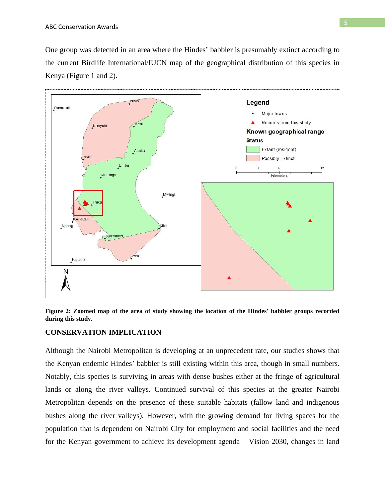One group was detected in an area where the Hindes' babbler is presumably extinct according to the current Birdlife International/IUCN map of the geographical distribution of this species in Kenya (Figure 1 and 2).



**Figure 2: Zoomed map of the area of study showing the location of the Hindes' babbler groups recorded during this study.**

### **CONSERVATION IMPLICATION**

Although the Nairobi Metropolitan is developing at an unprecedent rate, our studies shows that the Kenyan endemic Hindes' babbler is still existing within this area, though in small numbers. Notably, this species is surviving in areas with dense bushes either at the fringe of agricultural lands or along the river valleys. Continued survival of this species at the greater Nairobi Metropolitan depends on the presence of these suitable habitats (fallow land and indigenous bushes along the river valleys). However, with the growing demand for living spaces for the population that is dependent on Nairobi City for employment and social facilities and the need for the Kenyan government to achieve its development agenda – Vision 2030, changes in land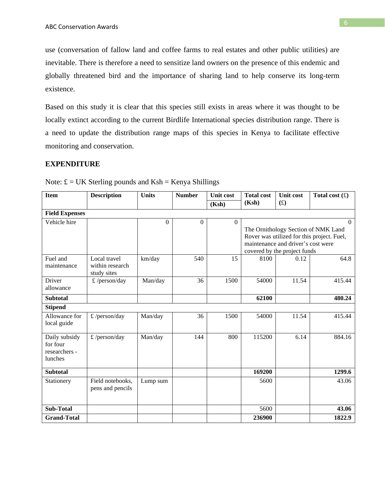use (conversation of fallow land and coffee farms to real estates and other public utilities) are inevitable. There is therefore a need to sensitize land owners on the presence of this endemic and globally threatened bird and the importance of sharing land to help conserve its long-term existence.

Based on this study it is clear that this species still exists in areas where it was thought to be locally extinct according to the current Birdlife International species distribution range. There is a need to update the distribution range maps of this species in Kenya to facilitate effective monitoring and conservation.

#### **EXPENDITURE**

| <b>Item</b>           | <b>Description</b> | <b>Units</b> | <b>Number</b> | <b>Unit cost</b> | <b>Total cost</b>                                                  | <b>Unit cost</b> | Total cost $(f)$                           |
|-----------------------|--------------------|--------------|---------------|------------------|--------------------------------------------------------------------|------------------|--------------------------------------------|
|                       |                    |              |               | (Ksh)            | (Ksh)                                                              | (f)              |                                            |
| <b>Field Expenses</b> |                    |              |               |                  |                                                                    |                  |                                            |
| Vehicle hire          |                    | $\Omega$     | $\Omega$      | $\Omega$         |                                                                    |                  | $\Omega$                                   |
|                       |                    |              |               |                  |                                                                    |                  | The Ornithology Section of NMK Land        |
|                       |                    |              |               |                  |                                                                    |                  | Rover was utilized for this project. Fuel, |
|                       |                    |              |               |                  | maintenance and driver's cost were<br>covered by the project funds |                  |                                            |
| Fuel and              | Local travel       | km/day       | 540           | 15               | 8100                                                               | 0.12             | 64.8                                       |
| maintenance           | within research    |              |               |                  |                                                                    |                  |                                            |
|                       | study sites        |              |               |                  |                                                                    |                  |                                            |
| Driver                | £/person/day       | Man/day      | 36            | 1500             | 54000                                                              | 11.54            | 415.44                                     |
| allowance             |                    |              |               |                  |                                                                    |                  |                                            |
| <b>Subtotal</b>       |                    |              |               |                  | 62100                                                              |                  | 480.24                                     |
| <b>Stipend</b>        |                    |              |               |                  |                                                                    |                  |                                            |
| Allowance for         | £ / $person/day$   | Man/day      | 36            | 1500             | 54000                                                              | 11.54            | 415.44                                     |
| local guide           |                    |              |               |                  |                                                                    |                  |                                            |
| Daily subsidy         | £/person/day       | Man/day      | 144           | 800              | 115200                                                             | 6.14             | 884.16                                     |
| for four              |                    |              |               |                  |                                                                    |                  |                                            |
| researchers -         |                    |              |               |                  |                                                                    |                  |                                            |
| lunches               |                    |              |               |                  |                                                                    |                  |                                            |
|                       |                    |              |               |                  |                                                                    |                  |                                            |
| <b>Subtotal</b>       |                    |              |               |                  | 169200                                                             |                  | 1299.6                                     |
| Stationery            | Field notebooks,   | Lump sum     |               |                  | 5600                                                               |                  | 43.06                                      |
|                       | pens and pencils   |              |               |                  |                                                                    |                  |                                            |
|                       |                    |              |               |                  |                                                                    |                  |                                            |
| <b>Sub-Total</b>      |                    |              |               |                  | 5600                                                               |                  | 43.06                                      |
| <b>Grand-Total</b>    |                    |              |               |                  | 236900                                                             |                  | 1822.9                                     |

Note:  $E = UK$  Sterling pounds and  $Ksh =$  Kenya Shillings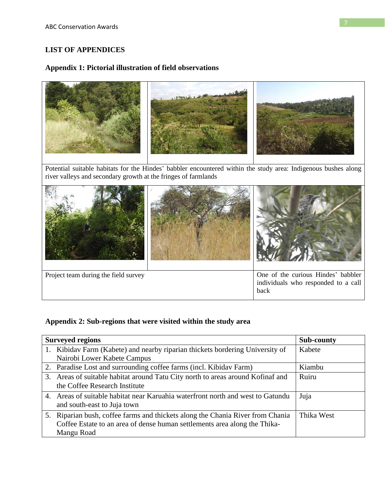## **LIST OF APPENDICES**

## **Appendix 1: Pictorial illustration of field observations**



river valleys and secondary growth at the fringes of farmlands



## **Appendix 2: Sub-regions that were visited within the study area**

| <b>Surveyed regions</b>                                                         | Sub-county |
|---------------------------------------------------------------------------------|------------|
| 1. Kibidav Farm (Kabete) and nearby riparian thickets bordering University of   | Kabete     |
| Nairobi Lower Kabete Campus                                                     |            |
| 2. Paradise Lost and surrounding coffee farms (incl. Kibidav Farm)              | Kiambu     |
| 3. Areas of suitable habitat around Tatu City north to areas around Kofinaf and | Ruiru      |
| the Coffee Research Institute                                                   |            |
| 4. Areas of suitable habitat near Karuahia waterfront north and west to Gatundu | Juja       |
| and south-east to Juja town                                                     |            |
| 5. Riparian bush, coffee farms and thickets along the Chania River from Chania  | Thika West |
| Coffee Estate to an area of dense human settlements area along the Thika-       |            |
| Mangu Road                                                                      |            |